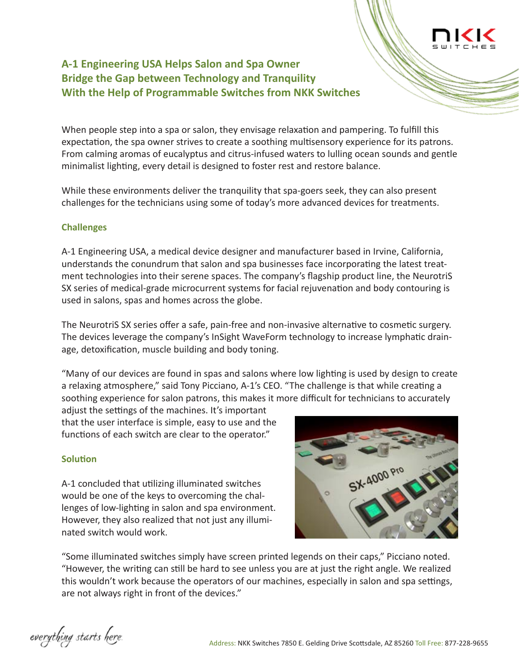# **A-1 Engineering USA Helps Salon and Spa Owner Bridge the Gap between Technology and Tranquility With the Help of Programmable Switches from NKK Switches**

When people step into a spa or salon, they envisage relaxation and pampering. To fulfill this expectation, the spa owner strives to create a soothing multisensory experience for its patrons. From calming aromas of eucalyptus and citrus-infused waters to lulling ocean sounds and gentle minimalist lighting, every detail is designed to foster rest and restore balance.

While these environments deliver the tranquility that spa-goers seek, they can also present challenges for the technicians using some of today's more advanced devices for treatments.

## **Challenges**

A-1 Engineering USA, a medical device designer and manufacturer based in Irvine, California, understands the conundrum that salon and spa businesses face incorporating the latest treatment technologies into their serene spaces. The company's flagship product line, the NeurotriS SX series of medical-grade microcurrent systems for facial rejuvenation and body contouring is used in salons, spas and homes across the globe.

The NeurotriS SX series offer a safe, pain-free and non-invasive alternative to cosmetic surgery. The devices leverage the company's InSight WaveForm technology to increase lymphatic drainage, detoxification, muscle building and body toning.

"Many of our devices are found in spas and salons where low lighting is used by design to create a relaxing atmosphere," said Tony Picciano, A-1's CEO. "The challenge is that while creating a soothing experience for salon patrons, this makes it more difficult for technicians to accurately

adjust the settings of the machines. It's important that the user interface is simple, easy to use and the functions of each switch are clear to the operator."

## **Solution**

A-1 concluded that utilizing illuminated switches would be one of the keys to overcoming the challenges of low-lighting in salon and spa environment. However, they also realized that not just any illuminated switch would work.



"Some illuminated switches simply have screen printed legends on their caps," Picciano noted. "However, the writing can still be hard to see unless you are at just the right angle. We realized this wouldn't work because the operators of our machines, especially in salon and spa settings, are not always right in front of the devices."

everything starts here.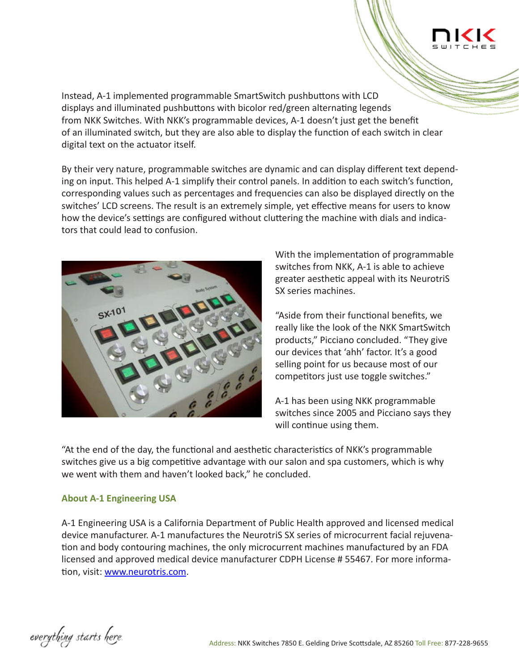Instead, A-1 implemented programmable SmartSwitch pushbuttons with LCD displays and illuminated pushbuttons with bicolor red/green alternating legends from NKK Switches. With NKK's programmable devices, A-1 doesn't just get the benefit of an illuminated switch, but they are also able to display the function of each switch in clear digital text on the actuator itself.

By their very nature, programmable switches are dynamic and can display different text depending on input. This helped A-1 simplify their control panels. In addition to each switch's function, corresponding values such as percentages and frequencies can also be displayed directly on the switches' LCD screens. The result is an extremely simple, yet effective means for users to know how the device's settings are configured without cluttering the machine with dials and indicators that could lead to confusion.



With the implementation of programmable switches from NKK, A-1 is able to achieve greater aesthetic appeal with its NeurotriS SX series machines.

"Aside from their functional benefits, we really like the look of the NKK SmartSwitch products," Picciano concluded. "They give our devices that 'ahh' factor. It's a good selling point for us because most of our competitors just use toggle switches."

A-1 has been using NKK programmable switches since 2005 and Picciano says they will continue using them.

"At the end of the day, the functional and aesthetic characteristics of NKK's programmable switches give us a big competitive advantage with our salon and spa customers, which is why we went with them and haven't looked back," he concluded.

## **About A-1 Engineering USA**

A-1 Engineering USA is a California Department of Public Health approved and licensed medical device manufacturer. A-1 manufactures the NeurotriS SX series of microcurrent facial rejuvenation and body contouring machines, the only microcurrent machines manufactured by an FDA licensed and approved medical device manufacturer CDPH License # 55467. For more information, visit: www.neurotris.com.

everything starts here.